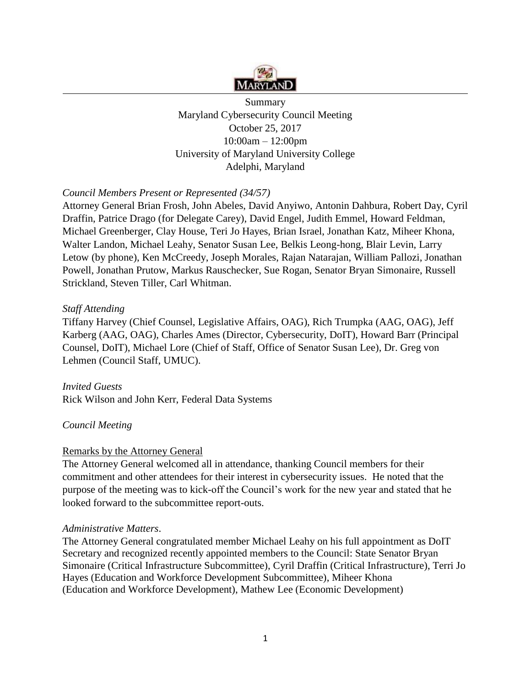

Summary Maryland Cybersecurity Council Meeting October 25, 2017 10:00am – 12:00pm University of Maryland University College Adelphi, Maryland

## *Council Members Present or Represented (34/57)*

Attorney General Brian Frosh, John Abeles, David Anyiwo, Antonin Dahbura, Robert Day, Cyril Draffin, Patrice Drago (for Delegate Carey), David Engel, Judith Emmel, Howard Feldman, Michael Greenberger, Clay House, Teri Jo Hayes, Brian Israel, Jonathan Katz, Miheer Khona, Walter Landon, Michael Leahy, Senator Susan Lee, Belkis Leong-hong, Blair Levin, Larry Letow (by phone), Ken McCreedy, Joseph Morales, Rajan Natarajan, William Pallozi, Jonathan Powell, Jonathan Prutow, Markus Rauschecker, Sue Rogan, Senator Bryan Simonaire, Russell Strickland, Steven Tiller, Carl Whitman.

#### *Staff Attending*

Tiffany Harvey (Chief Counsel, Legislative Affairs, OAG), Rich Trumpka (AAG, OAG), Jeff Karberg (AAG, OAG), Charles Ames (Director, Cybersecurity, DoIT), Howard Barr (Principal Counsel, DoIT), Michael Lore (Chief of Staff, Office of Senator Susan Lee), Dr. Greg von Lehmen (Council Staff, UMUC).

*Invited Guests*  Rick Wilson and John Kerr, Federal Data Systems

## *Council Meeting*

#### Remarks by the Attorney General

The Attorney General welcomed all in attendance, thanking Council members for their commitment and other attendees for their interest in cybersecurity issues. He noted that the purpose of the meeting was to kick-off the Council's work for the new year and stated that he looked forward to the subcommittee report-outs.

#### *Administrative Matters*.

The Attorney General congratulated member Michael Leahy on his full appointment as DoIT Secretary and recognized recently appointed members to the Council: State Senator Bryan Simonaire (Critical Infrastructure Subcommittee), Cyril Draffin (Critical Infrastructure), Terri Jo Hayes (Education and Workforce Development Subcommittee), Miheer Khona (Education and Workforce Development), Mathew Lee (Economic Development)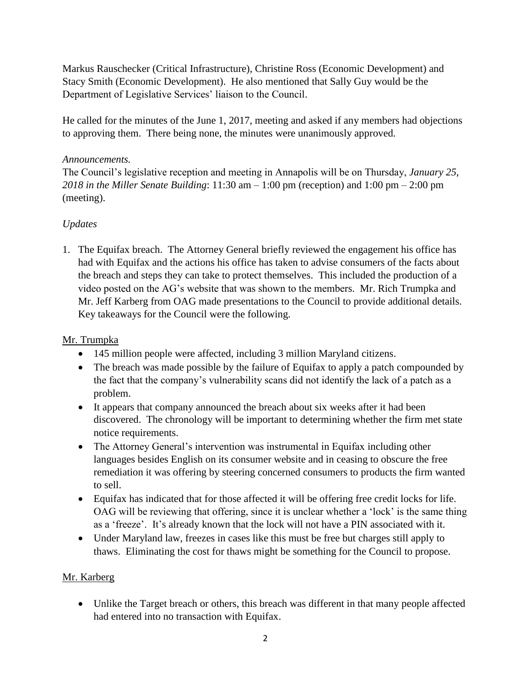Markus Rauschecker (Critical Infrastructure), Christine Ross (Economic Development) and Stacy Smith (Economic Development). He also mentioned that Sally Guy would be the Department of Legislative Services' liaison to the Council.

He called for the minutes of the June 1, 2017, meeting and asked if any members had objections to approving them. There being none, the minutes were unanimously approved.

## *Announcements.*

The Council's legislative reception and meeting in Annapolis will be on Thursday, *January 25, 2018 in the Miller Senate Building*: 11:30 am – 1:00 pm (reception) and 1:00 pm – 2:00 pm (meeting).

# *Updates*

1. The Equifax breach. The Attorney General briefly reviewed the engagement his office has had with Equifax and the actions his office has taken to advise consumers of the facts about the breach and steps they can take to protect themselves. This included the production of a video posted on the AG's website that was shown to the members. Mr. Rich Trumpka and Mr. Jeff Karberg from OAG made presentations to the Council to provide additional details. Key takeaways for the Council were the following.

## Mr. Trumpka

- 145 million people were affected, including 3 million Maryland citizens.
- The breach was made possible by the failure of Equifax to apply a patch compounded by the fact that the company's vulnerability scans did not identify the lack of a patch as a problem.
- It appears that company announced the breach about six weeks after it had been discovered. The chronology will be important to determining whether the firm met state notice requirements.
- The Attorney General's intervention was instrumental in Equifax including other languages besides English on its consumer website and in ceasing to obscure the free remediation it was offering by steering concerned consumers to products the firm wanted to sell.
- Equifax has indicated that for those affected it will be offering free credit locks for life. OAG will be reviewing that offering, since it is unclear whether a 'lock' is the same thing as a 'freeze'. It's already known that the lock will not have a PIN associated with it.
- Under Maryland law, freezes in cases like this must be free but charges still apply to thaws. Eliminating the cost for thaws might be something for the Council to propose.

## Mr. Karberg

• Unlike the Target breach or others, this breach was different in that many people affected had entered into no transaction with Equifax.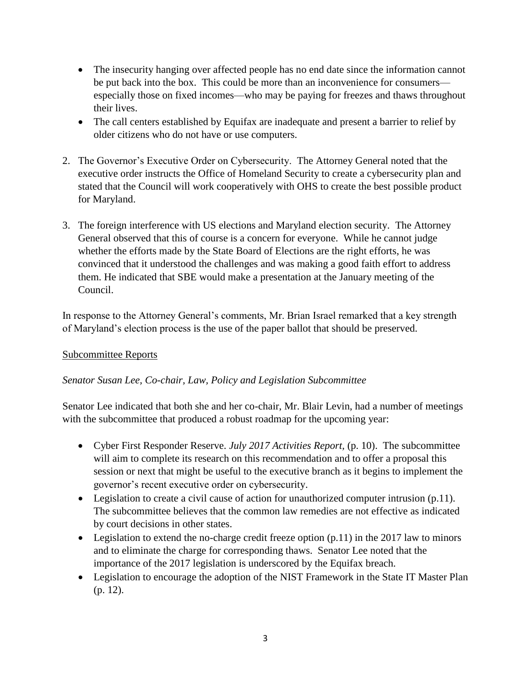- The insecurity hanging over affected people has no end date since the information cannot be put back into the box. This could be more than an inconvenience for consumers especially those on fixed incomes—who may be paying for freezes and thaws throughout their lives.
- The call centers established by Equifax are inadequate and present a barrier to relief by older citizens who do not have or use computers.
- 2. The Governor's Executive Order on Cybersecurity. The Attorney General noted that the executive order instructs the Office of Homeland Security to create a cybersecurity plan and stated that the Council will work cooperatively with OHS to create the best possible product for Maryland.
- 3. The foreign interference with US elections and Maryland election security. The Attorney General observed that this of course is a concern for everyone. While he cannot judge whether the efforts made by the State Board of Elections are the right efforts, he was convinced that it understood the challenges and was making a good faith effort to address them. He indicated that SBE would make a presentation at the January meeting of the Council.

In response to the Attorney General's comments, Mr. Brian Israel remarked that a key strength of Maryland's election process is the use of the paper ballot that should be preserved.

## Subcommittee Reports

## *Senator Susan Lee, Co-chair, Law, Policy and Legislation Subcommittee*

Senator Lee indicated that both she and her co-chair, Mr. Blair Levin, had a number of meetings with the subcommittee that produced a robust roadmap for the upcoming year:

- Cyber First Responder Reserve. *July 2017 Activities Report,* (p. 10). The subcommittee will aim to complete its research on this recommendation and to offer a proposal this session or next that might be useful to the executive branch as it begins to implement the governor's recent executive order on cybersecurity.
- Legislation to create a civil cause of action for unauthorized computer intrusion (p.11). The subcommittee believes that the common law remedies are not effective as indicated by court decisions in other states.
- Legislation to extend the no-charge credit freeze option  $(p.11)$  in the 2017 law to minors and to eliminate the charge for corresponding thaws. Senator Lee noted that the importance of the 2017 legislation is underscored by the Equifax breach.
- Legislation to encourage the adoption of the NIST Framework in the State IT Master Plan (p. 12).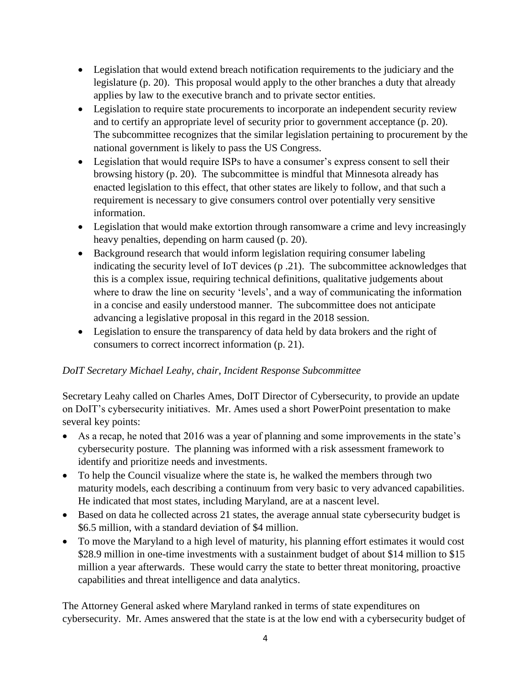- Legislation that would extend breach notification requirements to the judiciary and the legislature (p. 20). This proposal would apply to the other branches a duty that already applies by law to the executive branch and to private sector entities.
- Legislation to require state procurements to incorporate an independent security review and to certify an appropriate level of security prior to government acceptance (p. 20). The subcommittee recognizes that the similar legislation pertaining to procurement by the national government is likely to pass the US Congress.
- Legislation that would require ISPs to have a consumer's express consent to sell their browsing history (p. 20). The subcommittee is mindful that Minnesota already has enacted legislation to this effect, that other states are likely to follow, and that such a requirement is necessary to give consumers control over potentially very sensitive information.
- Legislation that would make extortion through ransomware a crime and levy increasingly heavy penalties, depending on harm caused (p. 20).
- Background research that would inform legislation requiring consumer labeling indicating the security level of IoT devices (p .21). The subcommittee acknowledges that this is a complex issue, requiring technical definitions, qualitative judgements about where to draw the line on security 'levels', and a way of communicating the information in a concise and easily understood manner. The subcommittee does not anticipate advancing a legislative proposal in this regard in the 2018 session.
- Legislation to ensure the transparency of data held by data brokers and the right of consumers to correct incorrect information (p. 21).

# *DoIT Secretary Michael Leahy, chair, Incident Response Subcommittee*

Secretary Leahy called on Charles Ames, DoIT Director of Cybersecurity, to provide an update on DoIT's cybersecurity initiatives. Mr. Ames used a short PowerPoint presentation to make several key points:

- As a recap, he noted that 2016 was a year of planning and some improvements in the state's cybersecurity posture. The planning was informed with a risk assessment framework to identify and prioritize needs and investments.
- To help the Council visualize where the state is, he walked the members through two maturity models, each describing a continuum from very basic to very advanced capabilities. He indicated that most states, including Maryland, are at a nascent level.
- Based on data he collected across 21 states, the average annual state cybersecurity budget is \$6.5 million, with a standard deviation of \$4 million.
- To move the Maryland to a high level of maturity, his planning effort estimates it would cost \$28.9 million in one-time investments with a sustainment budget of about \$14 million to \$15 million a year afterwards. These would carry the state to better threat monitoring, proactive capabilities and threat intelligence and data analytics.

The Attorney General asked where Maryland ranked in terms of state expenditures on cybersecurity. Mr. Ames answered that the state is at the low end with a cybersecurity budget of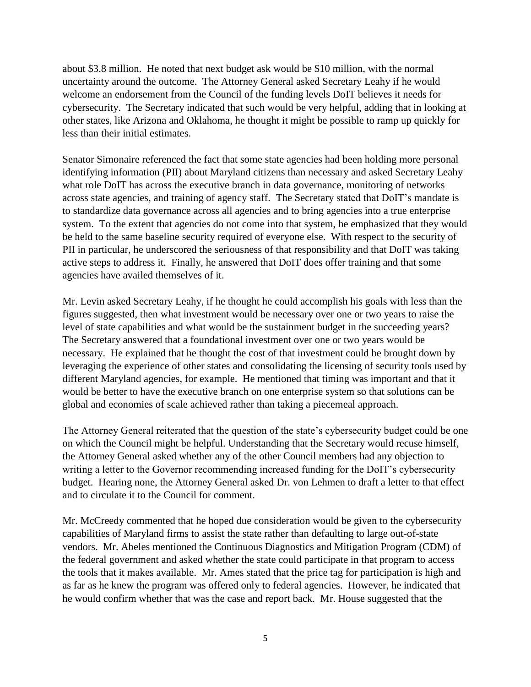about \$3.8 million. He noted that next budget ask would be \$10 million, with the normal uncertainty around the outcome. The Attorney General asked Secretary Leahy if he would welcome an endorsement from the Council of the funding levels DoIT believes it needs for cybersecurity. The Secretary indicated that such would be very helpful, adding that in looking at other states, like Arizona and Oklahoma, he thought it might be possible to ramp up quickly for less than their initial estimates.

Senator Simonaire referenced the fact that some state agencies had been holding more personal identifying information (PII) about Maryland citizens than necessary and asked Secretary Leahy what role DoIT has across the executive branch in data governance, monitoring of networks across state agencies, and training of agency staff. The Secretary stated that DoIT's mandate is to standardize data governance across all agencies and to bring agencies into a true enterprise system. To the extent that agencies do not come into that system, he emphasized that they would be held to the same baseline security required of everyone else. With respect to the security of PII in particular, he underscored the seriousness of that responsibility and that DoIT was taking active steps to address it. Finally, he answered that DoIT does offer training and that some agencies have availed themselves of it.

Mr. Levin asked Secretary Leahy, if he thought he could accomplish his goals with less than the figures suggested, then what investment would be necessary over one or two years to raise the level of state capabilities and what would be the sustainment budget in the succeeding years? The Secretary answered that a foundational investment over one or two years would be necessary. He explained that he thought the cost of that investment could be brought down by leveraging the experience of other states and consolidating the licensing of security tools used by different Maryland agencies, for example. He mentioned that timing was important and that it would be better to have the executive branch on one enterprise system so that solutions can be global and economies of scale achieved rather than taking a piecemeal approach.

The Attorney General reiterated that the question of the state's cybersecurity budget could be one on which the Council might be helpful. Understanding that the Secretary would recuse himself, the Attorney General asked whether any of the other Council members had any objection to writing a letter to the Governor recommending increased funding for the DoIT's cybersecurity budget. Hearing none, the Attorney General asked Dr. von Lehmen to draft a letter to that effect and to circulate it to the Council for comment.

Mr. McCreedy commented that he hoped due consideration would be given to the cybersecurity capabilities of Maryland firms to assist the state rather than defaulting to large out-of-state vendors. Mr. Abeles mentioned the Continuous Diagnostics and Mitigation Program (CDM) of the federal government and asked whether the state could participate in that program to access the tools that it makes available. Mr. Ames stated that the price tag for participation is high and as far as he knew the program was offered only to federal agencies. However, he indicated that he would confirm whether that was the case and report back. Mr. House suggested that the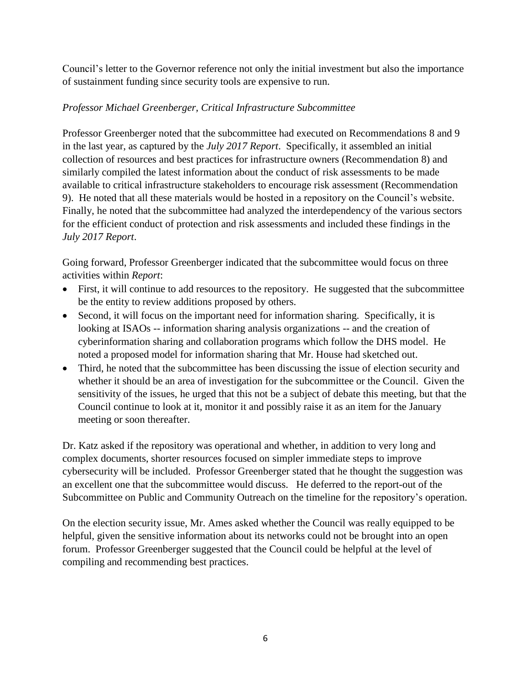Council's letter to the Governor reference not only the initial investment but also the importance of sustainment funding since security tools are expensive to run.

## *Professor Michael Greenberger, Critical Infrastructure Subcommittee*

Professor Greenberger noted that the subcommittee had executed on Recommendations 8 and 9 in the last year, as captured by the *July 2017 Report*. Specifically, it assembled an initial collection of resources and best practices for infrastructure owners (Recommendation 8) and similarly compiled the latest information about the conduct of risk assessments to be made available to critical infrastructure stakeholders to encourage risk assessment (Recommendation 9). He noted that all these materials would be hosted in a repository on the Council's website. Finally, he noted that the subcommittee had analyzed the interdependency of the various sectors for the efficient conduct of protection and risk assessments and included these findings in the *July 2017 Report*.

Going forward, Professor Greenberger indicated that the subcommittee would focus on three activities within *Report*:

- First, it will continue to add resources to the repository. He suggested that the subcommittee be the entity to review additions proposed by others.
- Second, it will focus on the important need for information sharing. Specifically, it is looking at ISAOs -- information sharing analysis organizations -- and the creation of cyberinformation sharing and collaboration programs which follow the DHS model. He noted a proposed model for information sharing that Mr. House had sketched out.
- Third, he noted that the subcommittee has been discussing the issue of election security and whether it should be an area of investigation for the subcommittee or the Council. Given the sensitivity of the issues, he urged that this not be a subject of debate this meeting, but that the Council continue to look at it, monitor it and possibly raise it as an item for the January meeting or soon thereafter.

Dr. Katz asked if the repository was operational and whether, in addition to very long and complex documents, shorter resources focused on simpler immediate steps to improve cybersecurity will be included. Professor Greenberger stated that he thought the suggestion was an excellent one that the subcommittee would discuss. He deferred to the report-out of the Subcommittee on Public and Community Outreach on the timeline for the repository's operation.

On the election security issue, Mr. Ames asked whether the Council was really equipped to be helpful, given the sensitive information about its networks could not be brought into an open forum. Professor Greenberger suggested that the Council could be helpful at the level of compiling and recommending best practices.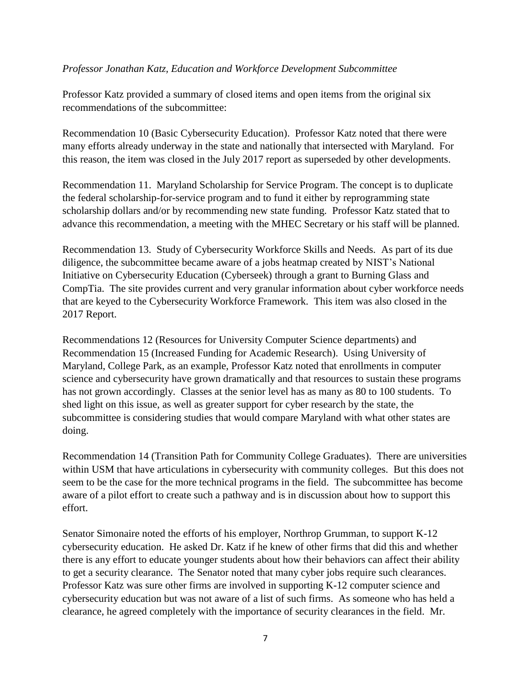#### *Professor Jonathan Katz, Education and Workforce Development Subcommittee*

Professor Katz provided a summary of closed items and open items from the original six recommendations of the subcommittee:

Recommendation 10 (Basic Cybersecurity Education). Professor Katz noted that there were many efforts already underway in the state and nationally that intersected with Maryland. For this reason, the item was closed in the July 2017 report as superseded by other developments.

Recommendation 11. Maryland Scholarship for Service Program. The concept is to duplicate the federal scholarship-for-service program and to fund it either by reprogramming state scholarship dollars and/or by recommending new state funding. Professor Katz stated that to advance this recommendation, a meeting with the MHEC Secretary or his staff will be planned.

Recommendation 13. Study of Cybersecurity Workforce Skills and Needs. As part of its due diligence, the subcommittee became aware of a jobs heatmap created by NIST's National Initiative on Cybersecurity Education (Cyberseek) through a grant to Burning Glass and CompTia. The site provides current and very granular information about cyber workforce needs that are keyed to the Cybersecurity Workforce Framework. This item was also closed in the 2017 Report.

Recommendations 12 (Resources for University Computer Science departments) and Recommendation 15 (Increased Funding for Academic Research). Using University of Maryland, College Park, as an example, Professor Katz noted that enrollments in computer science and cybersecurity have grown dramatically and that resources to sustain these programs has not grown accordingly. Classes at the senior level has as many as 80 to 100 students. To shed light on this issue, as well as greater support for cyber research by the state, the subcommittee is considering studies that would compare Maryland with what other states are doing.

Recommendation 14 (Transition Path for Community College Graduates). There are universities within USM that have articulations in cybersecurity with community colleges. But this does not seem to be the case for the more technical programs in the field. The subcommittee has become aware of a pilot effort to create such a pathway and is in discussion about how to support this effort.

Senator Simonaire noted the efforts of his employer, Northrop Grumman, to support K-12 cybersecurity education. He asked Dr. Katz if he knew of other firms that did this and whether there is any effort to educate younger students about how their behaviors can affect their ability to get a security clearance. The Senator noted that many cyber jobs require such clearances. Professor Katz was sure other firms are involved in supporting K-12 computer science and cybersecurity education but was not aware of a list of such firms. As someone who has held a clearance, he agreed completely with the importance of security clearances in the field. Mr.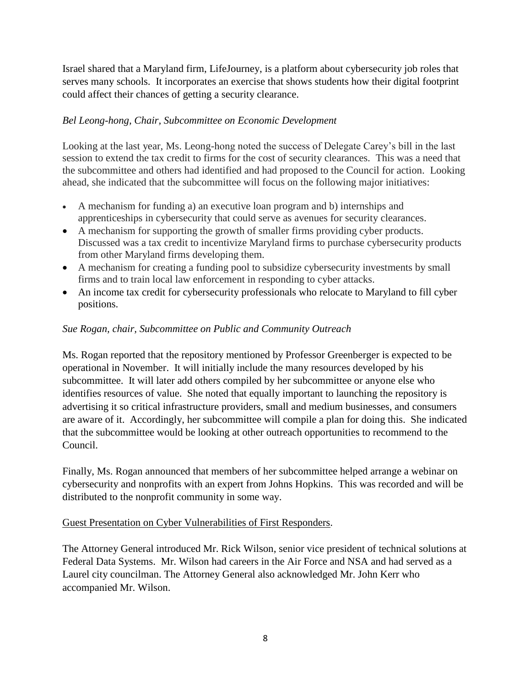Israel shared that a Maryland firm, LifeJourney, is a platform about cybersecurity job roles that serves many schools. It incorporates an exercise that shows students how their digital footprint could affect their chances of getting a security clearance.

#### *Bel Leong-hong, Chair, Subcommittee on Economic Development*

Looking at the last year, Ms. Leong-hong noted the success of Delegate Carey's bill in the last session to extend the tax credit to firms for the cost of security clearances. This was a need that the subcommittee and others had identified and had proposed to the Council for action. Looking ahead, she indicated that the subcommittee will focus on the following major initiatives:

- A mechanism for funding a) an executive loan program and b) internships and apprenticeships in cybersecurity that could serve as avenues for security clearances.
- A mechanism for supporting the growth of smaller firms providing cyber products. Discussed was a tax credit to incentivize Maryland firms to purchase cybersecurity products from other Maryland firms developing them.
- A mechanism for creating a funding pool to subsidize cybersecurity investments by small firms and to train local law enforcement in responding to cyber attacks.
- An income tax credit for cybersecurity professionals who relocate to Maryland to fill cyber positions.

#### *Sue Rogan, chair, Subcommittee on Public and Community Outreach*

Ms. Rogan reported that the repository mentioned by Professor Greenberger is expected to be operational in November. It will initially include the many resources developed by his subcommittee. It will later add others compiled by her subcommittee or anyone else who identifies resources of value. She noted that equally important to launching the repository is advertising it so critical infrastructure providers, small and medium businesses, and consumers are aware of it. Accordingly, her subcommittee will compile a plan for doing this. She indicated that the subcommittee would be looking at other outreach opportunities to recommend to the Council.

Finally, Ms. Rogan announced that members of her subcommittee helped arrange a webinar on cybersecurity and nonprofits with an expert from Johns Hopkins. This was recorded and will be distributed to the nonprofit community in some way.

#### Guest Presentation on Cyber Vulnerabilities of First Responders.

The Attorney General introduced Mr. Rick Wilson, senior vice president of technical solutions at Federal Data Systems. Mr. Wilson had careers in the Air Force and NSA and had served as a Laurel city councilman. The Attorney General also acknowledged Mr. John Kerr who accompanied Mr. Wilson.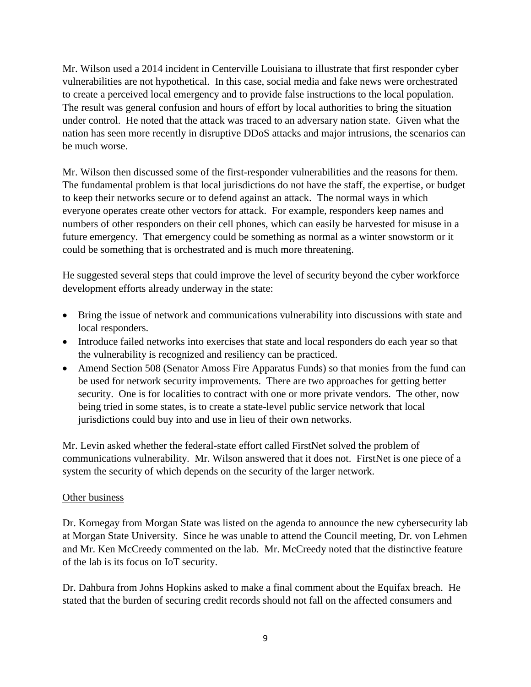Mr. Wilson used a 2014 incident in Centerville Louisiana to illustrate that first responder cyber vulnerabilities are not hypothetical. In this case, social media and fake news were orchestrated to create a perceived local emergency and to provide false instructions to the local population. The result was general confusion and hours of effort by local authorities to bring the situation under control. He noted that the attack was traced to an adversary nation state. Given what the nation has seen more recently in disruptive DDoS attacks and major intrusions, the scenarios can be much worse.

Mr. Wilson then discussed some of the first-responder vulnerabilities and the reasons for them. The fundamental problem is that local jurisdictions do not have the staff, the expertise, or budget to keep their networks secure or to defend against an attack. The normal ways in which everyone operates create other vectors for attack. For example, responders keep names and numbers of other responders on their cell phones, which can easily be harvested for misuse in a future emergency. That emergency could be something as normal as a winter snowstorm or it could be something that is orchestrated and is much more threatening.

He suggested several steps that could improve the level of security beyond the cyber workforce development efforts already underway in the state:

- Bring the issue of network and communications vulnerability into discussions with state and local responders.
- Introduce failed networks into exercises that state and local responders do each year so that the vulnerability is recognized and resiliency can be practiced.
- Amend Section 508 (Senator Amoss Fire Apparatus Funds) so that monies from the fund can be used for network security improvements. There are two approaches for getting better security. One is for localities to contract with one or more private vendors. The other, now being tried in some states, is to create a state-level public service network that local jurisdictions could buy into and use in lieu of their own networks.

Mr. Levin asked whether the federal-state effort called FirstNet solved the problem of communications vulnerability. Mr. Wilson answered that it does not. FirstNet is one piece of a system the security of which depends on the security of the larger network.

## Other business

Dr. Kornegay from Morgan State was listed on the agenda to announce the new cybersecurity lab at Morgan State University. Since he was unable to attend the Council meeting, Dr. von Lehmen and Mr. Ken McCreedy commented on the lab. Mr. McCreedy noted that the distinctive feature of the lab is its focus on IoT security.

Dr. Dahbura from Johns Hopkins asked to make a final comment about the Equifax breach. He stated that the burden of securing credit records should not fall on the affected consumers and